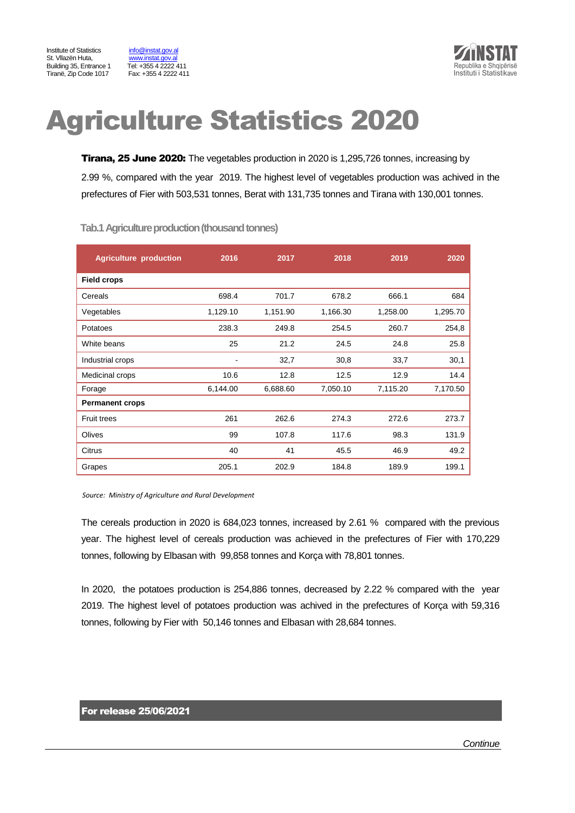Institute of Statistics info@instat.gov.al St. Vllazën Huta, [www.instat.gov.al](http://www.instat.gov.al/) Building 35, Entrance 1 Tel: +355 4 2222 411 Tiranë, Zip Code 1017 Fax: +355 4 2222 411



# Agriculture Statistics 2020

**Tirana, 25 June 2020:** The vegetables production in 2020 is 1,295,726 tonnes, increasing by 2.99 %, compared with the year 2019. The highest level of vegetables production was achived in the prefectures of Fier with 503,531 tonnes, Berat with 131,735 tonnes and Tirana with 130,001 tonnes.

| <b>Agriculture production</b> | 2016     | 2017     | 2018     | 2019     | 2020     |
|-------------------------------|----------|----------|----------|----------|----------|
| <b>Field crops</b>            |          |          |          |          |          |
| Cereals                       | 698.4    | 701.7    | 678.2    | 666.1    | 684      |
| Vegetables                    | 1,129.10 | 1,151.90 | 1,166.30 | 1,258.00 | 1,295.70 |
| Potatoes                      | 238.3    | 249.8    | 254.5    | 260.7    | 254,8    |
| White beans                   | 25       | 21.2     | 24.5     | 24.8     | 25.8     |
| Industrial crops              |          | 32,7     | 30,8     | 33,7     | 30,1     |
| Medicinal crops               | 10.6     | 12.8     | 12.5     | 12.9     | 14.4     |
| Forage                        | 6,144.00 | 6,688.60 | 7,050.10 | 7,115.20 | 7,170.50 |
| <b>Permanent crops</b>        |          |          |          |          |          |
| <b>Fruit trees</b>            | 261      | 262.6    | 274.3    | 272.6    | 273.7    |
| Olives                        | 99       | 107.8    | 117.6    | 98.3     | 131.9    |
| Citrus                        | 40       | 41       | 45.5     | 46.9     | 49.2     |
| Grapes                        | 205.1    | 202.9    | 184.8    | 189.9    | 199.1    |

 **Tab.1 Agriculture production (thousand tonnes)**

 *Source: Ministry of Agriculture and Rural Development*

The cereals production in 2020 is 684,023 tonnes, increased by 2.61 % compared with the previous year. The highest level of cereals production was achieved in the prefectures of Fier with 170,229 tonnes, following by Elbasan with 99,858 tonnes and Korça with 78,801 tonnes.

In 2020, the potatoes production is 254,886 tonnes, decreased by 2.22 % compared with the year 2019. The highest level of potatoes production was achived in the prefectures of Korça with 59,316 tonnes, following by Fier with 50,146 tonnes and Elbasan with 28,684 tonnes.

#### For release 25/06/2021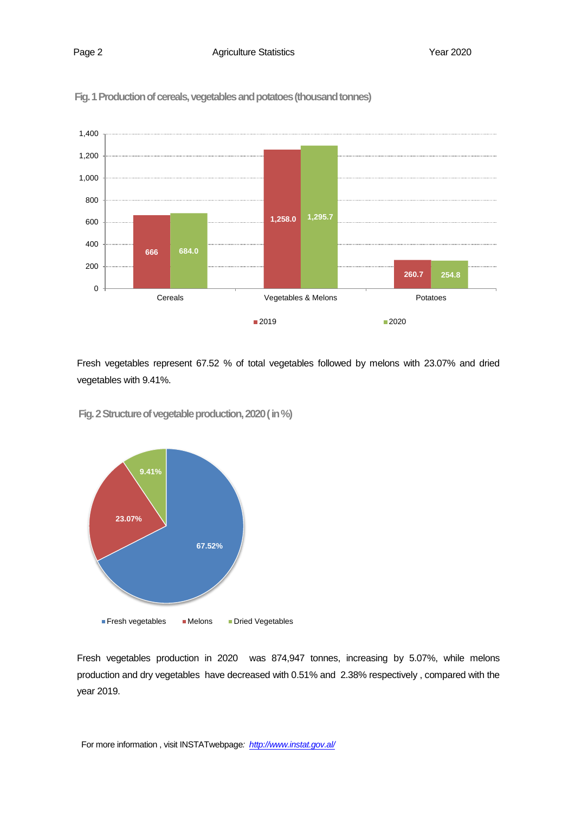

 **Fig. 1 Production of cereals, vegetables and potatoes (thousand tonnes)**

Fresh vegetables represent 67.52 % of total vegetables followed by melons with 23.07% and dried vegetables with 9.41%.

 **Fig. 2Structure of vegetable production, 2020( in %)**



Fresh vegetables production in 2020 was 874,947 tonnes, increasing by 5.07%, while melons production and dry vegetables have decreased with 0.51% and 2.38% respectively , compared with the year 2019.

For more information , visit INSTATwebpage*:<http://www.instat.gov.al/>*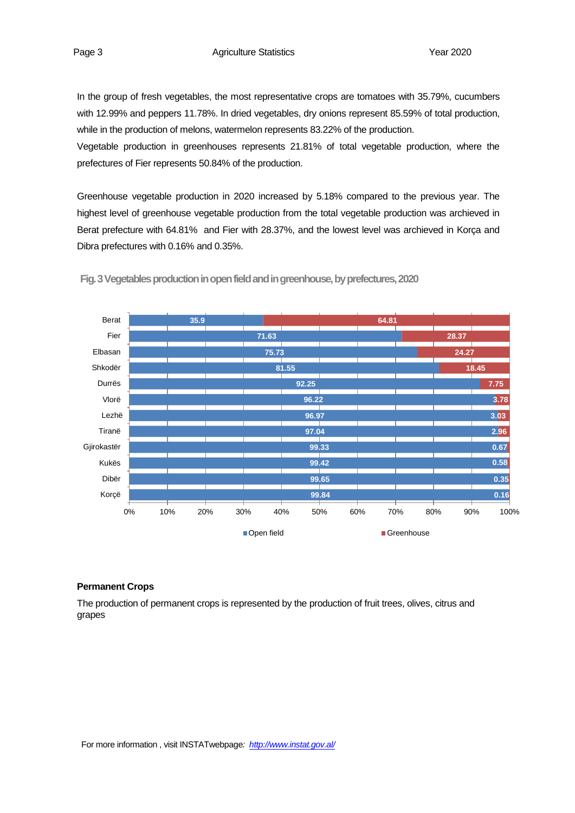In the group of fresh vegetables, the most representative crops are tomatoes with 35.79%, cucumbers with 12.99% and peppers 11.78%. In dried vegetables, dry onions represent 85.59% of total production, while in the production of melons, watermelon represents 83.22% of the production.

Vegetable production in greenhouses represents 21.81% of total vegetable production, where the prefectures of Fier represents 50.84% of the production.

Greenhouse vegetable production in 2020 increased by 5.18% compared to the previous year. The highest level of greenhouse vegetable production from the total vegetable production was archieved in Berat prefecture with 64.81% and Fier with 28.37%, and the lowest level was archieved in Korça and Dibra prefectures with 0.16% and 0.35%.



**Fig. 3Vegetables production in open field and in greenhouse, by prefectures, 2020**

# **Permanent Crops**

The production of permanent crops is represented by the production of fruit trees, olives, citrus and grapes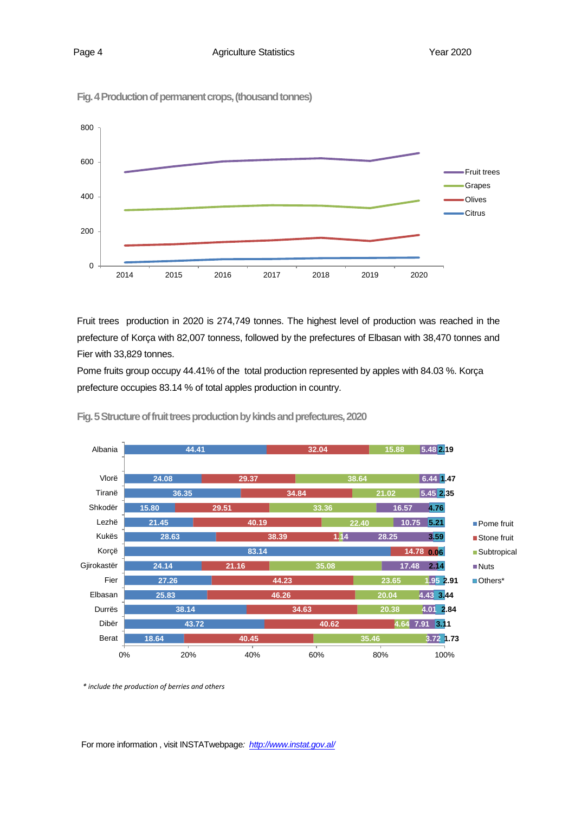

**Fig. 4Production of permanent crops, (thousand tonnes)**

Fruit trees production in 2020 is 274,749 tonnes. The highest level of production was reached in the prefecture of Korça with 82,007 tonness, followed by the prefectures of Elbasan with 38,470 tonnes and Fier with 33,829 tonnes.

Pome fruits group occupy 44.41% of the total production represented by apples with 84.03 %. Korça prefecture occupies 83.14 % of total apples production in country.



**Fig. 5Structure of fruit trees production by kinds and prefectures, 2020**

*\* include the production of berries and others*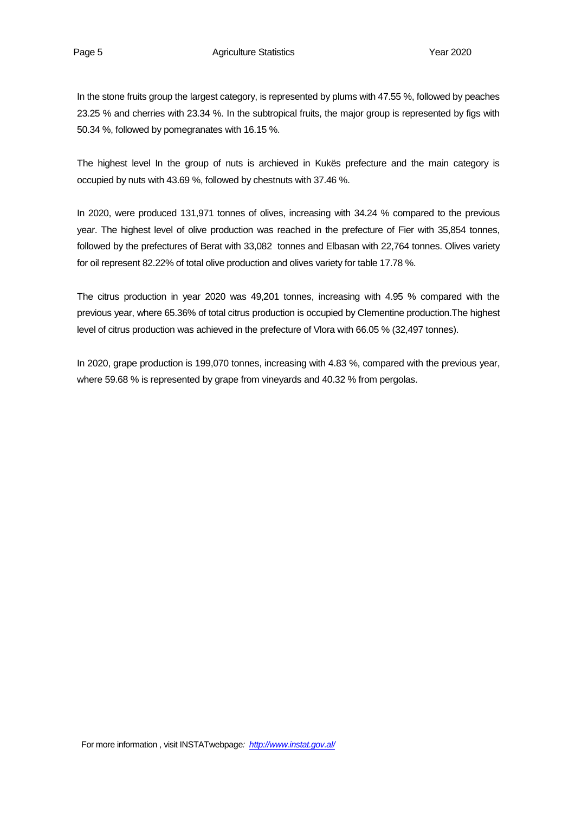In the stone fruits group the largest category, is represented by plums with 47.55 %, followed by peaches 23.25 % and cherries with 23.34 %. In the subtropical fruits, the major group is represented by figs with 50.34 %, followed by pomegranates with 16.15 %.

The highest level In the group of nuts is archieved in Kukës prefecture and the main category is occupied by nuts with 43.69 %, followed by chestnuts with 37.46 %.

In 2020, were produced 131,971 tonnes of olives, increasing with 34.24 % compared to the previous year. The highest level of olive production was reached in the prefecture of Fier with 35,854 tonnes, followed by the prefectures of Berat with 33,082 tonnes and Elbasan with 22,764 tonnes. Olives variety for oil represent 82.22% of total olive production and olives variety for table 17.78 %.

The citrus production in year 2020 was 49,201 tonnes, increasing with 4.95 % compared with the previous year, where 65.36% of total citrus production is occupied by Clementine production.The highest level of citrus production was achieved in the prefecture of Vlora with 66.05 % (32,497 tonnes).

In 2020, grape production is 199,070 tonnes, increasing with 4.83 %, compared with the previous year, where 59.68 % is represented by grape from vineyards and 40.32 % from pergolas.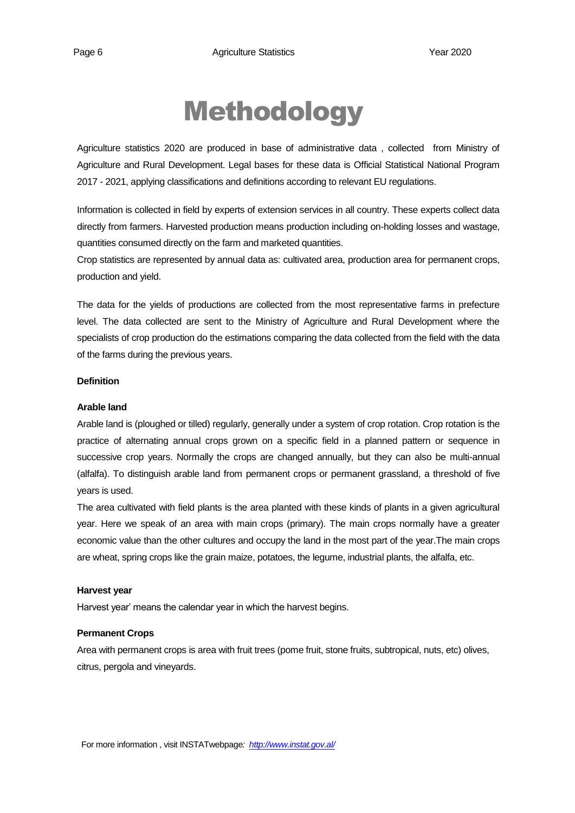# Methodology

Agriculture statistics 2020 are produced in base of administrative data , collected from Ministry of Agriculture and Rural Development. Legal bases for these data is Official Statistical National Program 2017 - 2021, applying classifications and definitions according to relevant EU regulations.

Information is collected in field by experts of extension services in all country. These experts collect data directly from farmers. Harvested production means production including on-holding losses and wastage, quantities consumed directly on the farm and marketed quantities.

Crop statistics are represented by annual data as: cultivated area, production area for permanent crops, production and yield.

The data for the yields of productions are collected from the most representative farms in prefecture level. The data collected are sent to the Ministry of Agriculture and Rural Development where the specialists of crop production do the estimations comparing the data collected from the field with the data of the farms during the previous years.

# **Definition**

#### **Arable land**

Arable land is (ploughed or tilled) regularly, generally under a system of crop rotation. Crop rotation is the practice of alternating annual crops grown on a specific field in a planned pattern or sequence in successive crop years. Normally the crops are changed annually, but they can also be multi-annual (alfalfa). To distinguish arable land from permanent crops or permanent grassland, a threshold of five years is used.

The area cultivated with field plants is the area planted with these kinds of plants in a given agricultural year. Here we speak of an area with main crops (primary). The main crops normally have a greater economic value than the other cultures and occupy the land in the most part of the year.The main crops are wheat, spring crops like the grain maize, potatoes, the legume, industrial plants, the alfalfa, etc.

#### **Harvest year**

Harvest year' means the calendar year in which the harvest begins.

#### **Permanent Crops**

Area with permanent crops is area with fruit trees (pome fruit, stone fruits, subtropical, nuts, etc) olives, citrus, pergola and vineyards.